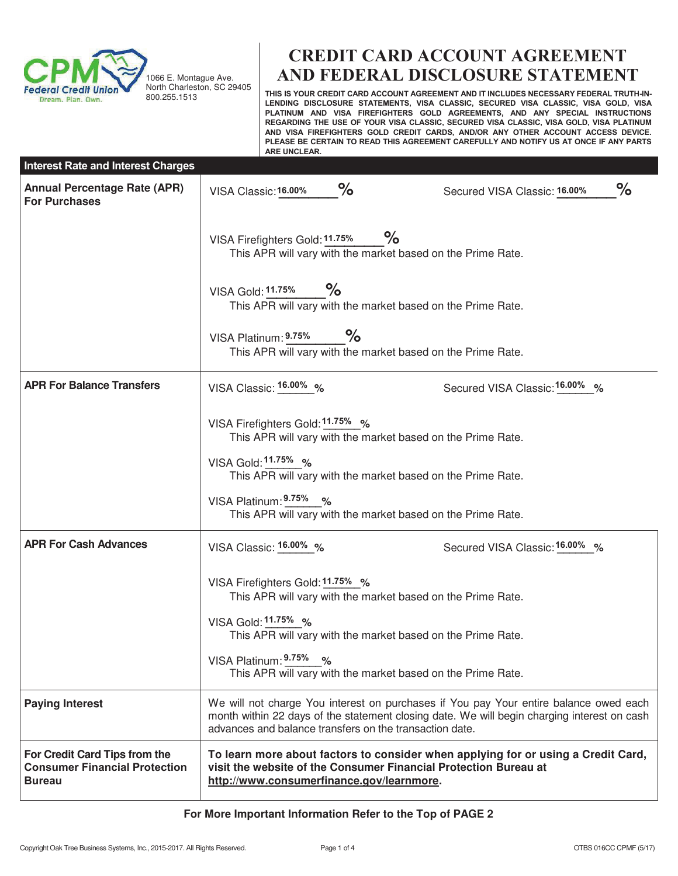

1066 E. Montague Ave. North Charleston, SC 29405 800.255.1513

# **CREDIT CARD ACCOUNT AGREEMENT AND FEDERAL DISCLOSURE STATEMENT**

**THIS IS YOUR CREDIT CARD ACCOUNT AGREEMENT AND IT INCLUDES NECESSARY FEDERAL TRUTH-IN-LENDING DISCLOSURE STATEMENTS, VISA CLASSIC, SECURED VISA CLASSIC, VISA GOLD, VISA PLATINUM AND VISA FIREFIGHTERS GOLD AGREEMENTS, AND ANY SPECIAL INSTRUCTIONS REGARDING THE USE OF YOUR VISA CLASSIC, SECURED VISA CLASSIC, VISA GOLD, VISA PLATINUM AND VISA FIREFIGHTERS GOLD CREDIT CARDS, AND/OR ANY OTHER ACCOUNT ACCESS DEVICE. PLEASE BE CERTAIN TO READ THIS AGREEMENT CAREFULLY AND NOTIFY US AT ONCE IF ANY PARTS ARE UNCLEAR.** 

| <b>Interest Rate and Interest Charges</b>                                              |                                                                                                                                                                                                                                                                                |                                   |  |  |  |
|----------------------------------------------------------------------------------------|--------------------------------------------------------------------------------------------------------------------------------------------------------------------------------------------------------------------------------------------------------------------------------|-----------------------------------|--|--|--|
| <b>Annual Percentage Rate (APR)</b><br><b>For Purchases</b>                            | $\%$<br>VISA Classic: 16.00%                                                                                                                                                                                                                                                   | ℅<br>Secured VISA Classic: 16.00% |  |  |  |
|                                                                                        | $\%$<br>VISA Firefighters Gold: 11.75%<br>This APR will vary with the market based on the Prime Rate.                                                                                                                                                                          |                                   |  |  |  |
|                                                                                        | $\%$<br>VISA Gold: 11.75%<br>This APR will vary with the market based on the Prime Rate.                                                                                                                                                                                       |                                   |  |  |  |
|                                                                                        | $\%$<br>VISA Platinum: 9.75%<br>This APR will vary with the market based on the Prime Rate.                                                                                                                                                                                    |                                   |  |  |  |
| <b>APR For Balance Transfers</b>                                                       | VISA Classic: 16.00% %                                                                                                                                                                                                                                                         | Secured VISA Classic: 16.00% %    |  |  |  |
|                                                                                        | VISA Firefighters Gold: 11.75% %<br>This APR will vary with the market based on the Prime Rate.<br>VISA Gold: 11.75% %<br>This APR will vary with the market based on the Prime Rate.<br>VISA Platinum: 9.75% %<br>This APR will vary with the market based on the Prime Rate. |                                   |  |  |  |
| <b>APR For Cash Advances</b>                                                           | VISA Classic: 16.00% %                                                                                                                                                                                                                                                         | Secured VISA Classic: 16.00% %    |  |  |  |
|                                                                                        | VISA Firefighters Gold: 11.75% %<br>This APR will vary with the market based on the Prime Rate.<br>VISA Gold: 11.75% %<br>This APR will vary with the market based on the Prime Rate.<br>VISA Platinum: 9.75% %<br>This APR will vary with the market based on the Prime Rate. |                                   |  |  |  |
| <b>Paying Interest</b>                                                                 | We will not charge You interest on purchases if You pay Your entire balance owed each<br>month within 22 days of the statement closing date. We will begin charging interest on cash<br>advances and balance transfers on the transaction date.                                |                                   |  |  |  |
| For Credit Card Tips from the<br><b>Consumer Financial Protection</b><br><b>Bureau</b> | To learn more about factors to consider when applying for or using a Credit Card,<br>visit the website of the Consumer Financial Protection Bureau at<br>http://www.consumerfinance.gov/learnmore.                                                                             |                                   |  |  |  |

## **For More Important Information Refer to the Top of PAGE 2**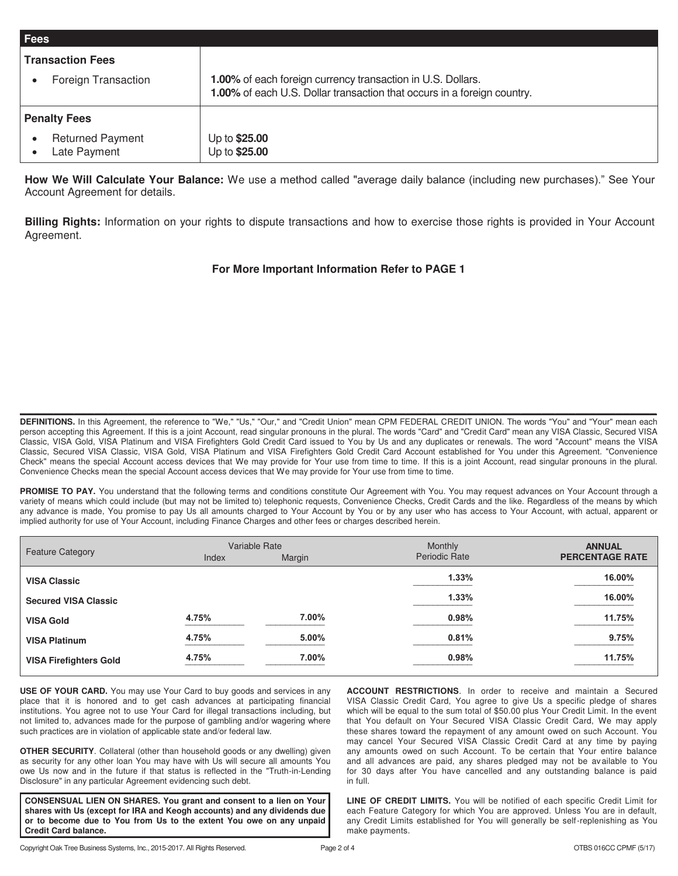| <b>Fees</b>                                          |                                                                                                                                        |
|------------------------------------------------------|----------------------------------------------------------------------------------------------------------------------------------------|
| <b>Transaction Fees</b>                              |                                                                                                                                        |
| Foreign Transaction                                  | 1.00% of each foreign currency transaction in U.S. Dollars.<br>1.00% of each U.S. Dollar transaction that occurs in a foreign country. |
| <b>Penalty Fees</b>                                  |                                                                                                                                        |
| <b>Returned Payment</b><br>$\bullet$<br>Late Payment | Up to \$25.00<br>Up to \$25.00                                                                                                         |

How We Will Calculate Your Balance: We use a method called "average daily balance (including new purchases)." See Your Account Agreement for details.

**Billing Rights:** Information on your rights to dispute transactions and how to exercise those rights is provided in Your Account Agreement.

## **For More Important Information Refer to PAGE 1**

**DEFINITIONS.** In this Agreement, the reference to "We," "Us," "Our," and "Credit Union" mean CPM FEDERAL CREDIT UNION. The words "You" and "Your" mean each person accepting this Agreement. If this is a joint Account, read singular pronouns in the plural. The words "Card" and "Credit Card" mean any VISA Classic, Secured VISA Classic, VISA Gold, VISA Platinum and VISA Firefighters Gold Credit Card issued to You by Us and any duplicates or renewals. The word "Account" means the VISA Classic, Secured VISA Classic, VISA Gold, VISA Platinum and VISA Firefighters Gold Credit Card Account established for You under this Agreement. "Convenience Check" means the special Account access devices that We may provide for Your use from time to time. If this is a joint Account, read singular pronouns in the plural. Convenience Checks mean the special Account access devices that We may provide for Your use from time to time.

\_\_\_\_\_\_\_\_\_\_\_\_\_\_\_\_\_\_\_\_\_\_\_\_\_\_\_\_\_\_\_\_\_\_\_\_\_\_\_\_\_\_\_\_\_\_\_\_\_\_\_\_\_\_\_\_\_\_\_\_\_\_\_\_\_\_\_\_\_\_\_\_\_\_\_\_\_\_\_\_\_\_\_\_\_\_\_\_\_\_\_\_\_\_

PROMISE TO PAY. You understand that the following terms and conditions constitute Our Agreement with You. You may request advances on Your Account through a variety of means which could include (but may not be limited to) telephonic requests, Convenience Checks, Credit Cards and the like. Regardless of the means by which any advance is made, You promise to pay Us all amounts charged to Your Account by You or by any user who has access to Your Account, with actual, apparent or implied authority for use of Your Account, including Finance Charges and other fees or charges described herein.

| <b>Feature Category</b>       |       | Variable Rate | Monthly              | <b>ANNUAL</b>          |
|-------------------------------|-------|---------------|----------------------|------------------------|
|                               | Index | Margin        | <b>Periodic Rate</b> | <b>PERCENTAGE RATE</b> |
| <b>VISA Classic</b>           |       |               | 1.33%                | 16.00%                 |
| <b>Secured VISA Classic</b>   |       |               | 1.33%                | 16.00%                 |
| <b>VISA Gold</b>              | 4.75% | 7.00%         | $0.98\%$             | 11.75%                 |
| <b>VISA Platinum</b>          | 4.75% | 5.00%         | 0.81%                | 9.75%                  |
| <b>VISA Firefighters Gold</b> | 4.75% | 7.00%         | $0.98\%$             | 11.75%                 |

**USE OF YOUR CARD.** You may use Your Card to buy goods and services in any place that it is honored and to get cash advances at participating financial institutions. You agree not to use Your Card for illegal transactions including, but not limited to, advances made for the purpose of gambling and/or wagering where such practices are in violation of applicable state and/or federal law.

**OTHER SECURITY**. Collateral (other than household goods or any dwelling) given as security for any other loan You may have with Us will secure all amounts You owe Us now and in the future if that status is reflected in the "Truth-in-Lending Disclosure" in any particular Agreement evidencing such debt.

**CONSENSUAL LIEN ON SHARES. You grant and consent to a lien on Your shares with Us (except for IRA and Keogh accounts) and any dividends due or to become due to You from Us to the extent You owe on any unpaid Credit Card balance.** 

**ACCOUNT RESTRICTIONS**. In order to receive and maintain a Secured VISA Classic Credit Card, You agree to give Us a specific pledge of shares which will be equal to the sum total of \$50.00 plus Your Credit Limit. In the event that You default on Your Secured VISA Classic Credit Card, We may apply these shares toward the repayment of any amount owed on such Account. You may cancel Your Secured VISA Classic Credit Card at any time by paying any amounts owed on such Account. To be certain that Your entire balance and all advances are paid, any shares pledged may not be available to You for 30 days after You have cancelled and any outstanding balance is paid in full.

**LINE OF CREDIT LIMITS.** You will be notified of each specific Credit Limit for each Feature Category for which You are approved. Unless You are in default, any Credit Limits established for You will generally be self-replenishing as You make payments.

ŗ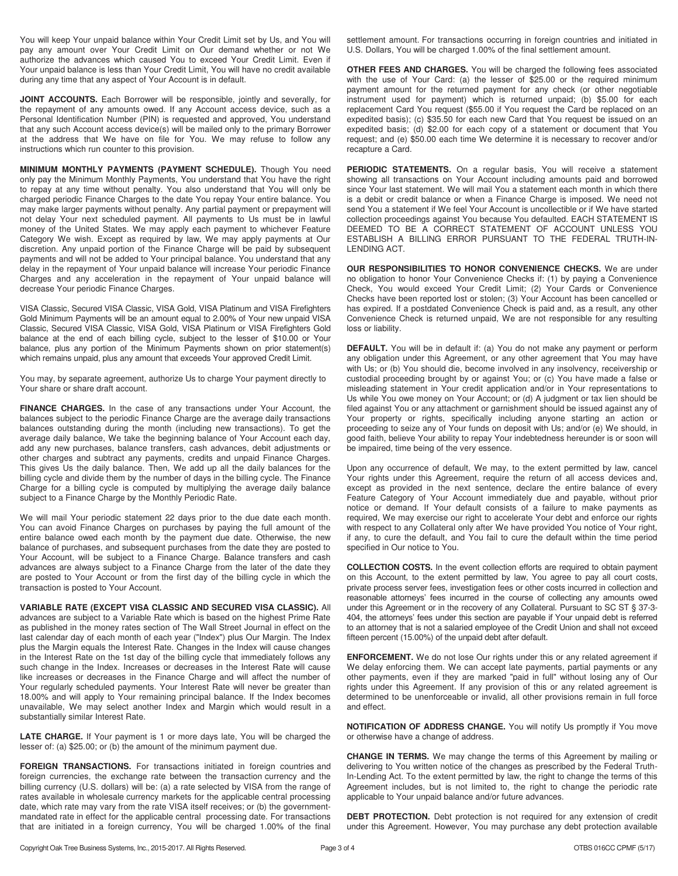You will keep Your unpaid balance within Your Credit Limit set by Us, and You will pay any amount over Your Credit Limit on Our demand whether or not We authorize the advances which caused You to exceed Your Credit Limit. Even if Your unpaid balance is less than Your Credit Limit, You will have no credit available during any time that any aspect of Your Account is in default.

**JOINT ACCOUNTS.** Each Borrower will be responsible, jointly and severally, for the repayment of any amounts owed. If any Account access device, such as a Personal Identification Number (PIN) is requested and approved, You understand that any such Account access device(s) will be mailed only to the primary Borrower at the address that We have on file for You. We may refuse to follow any instructions which run counter to this provision.

**MINIMUM MONTHLY PAYMENTS (PAYMENT SCHEDULE).** Though You need only pay the Minimum Monthly Payments, You understand that You have the right to repay at any time without penalty. You also understand that You will only be charged periodic Finance Charges to the date You repay Your entire balance. You may make larger payments without penalty. Any partial payment or prepayment will not delay Your next scheduled payment. All payments to Us must be in lawful money of the United States. We may apply each payment to whichever Feature Category We wish. Except as required by law, We may apply payments at Our discretion. Any unpaid portion of the Finance Charge will be paid by subsequent payments and will not be added to Your principal balance. You understand that any delay in the repayment of Your unpaid balance will increase Your periodic Finance Charges and any acceleration in the repayment of Your unpaid balance will decrease Your periodic Finance Charges.

VISA Classic, Secured VISA Classic, VISA Gold, VISA Platinum and VISA Firefighters Gold Minimum Payments will be an amount equal to 2.00% of Your new unpaid VISA Classic, Secured VISA Classic, VISA Gold, VISA Platinum or VISA Firefighters Gold balance at the end of each billing cycle, subject to the lesser of \$10.00 or Your balance, plus any portion of the Minimum Payments shown on prior statement(s) which remains unpaid, plus any amount that exceeds Your approved Credit Limit.

You may, by separate agreement, authorize Us to charge Your payment directly to Your share or share draft account.

**FINANCE CHARGES.** In the case of any transactions under Your Account, the balances subject to the periodic Finance Charge are the average daily transactions balances outstanding during the month (including new transactions). To get the average daily balance, We take the beginning balance of Your Account each day, add any new purchases, balance transfers, cash advances, debit adjustments or other charges and subtract any payments, credits and unpaid Finance Charges. This gives Us the daily balance. Then, We add up all the daily balances for the billing cycle and divide them by the number of days in the billing cycle. The Finance Charge for a billing cycle is computed by multiplying the average daily balance subject to a Finance Charge by the Monthly Periodic Rate.

We will mail Your periodic statement 22 days prior to the due date each month. You can avoid Finance Charges on purchases by paying the full amount of the entire balance owed each month by the payment due date. Otherwise, the new balance of purchases, and subsequent purchases from the date they are posted to Your Account, will be subject to a Finance Charge. Balance transfers and cash advances are always subject to a Finance Charge from the later of the date they are posted to Your Account or from the first day of the billing cycle in which the transaction is posted to Your Account.

**VARIABLE RATE (EXCEPT VISA CLASSIC AND SECURED VISA CLASSIC).** All advances are subject to a Variable Rate which is based on the highest Prime Rate as published in the money rates section of The Wall Street Journal in effect on the last calendar day of each month of each year ("Index") plus Our Margin. The Index plus the Margin equals the Interest Rate. Changes in the Index will cause changes in the Interest Rate on the 1st day of the billing cycle that immediately follows any such change in the Index. Increases or decreases in the Interest Rate will cause like increases or decreases in the Finance Charge and will affect the number of Your regularly scheduled payments. Your Interest Rate will never be greater than 18.00% and will apply to Your remaining principal balance. If the Index becomes unavailable, We may select another Index and Margin which would result in a substantially similar Interest Rate.

**LATE CHARGE.** If Your payment is 1 or more days late, You will be charged the lesser of: (a) \$25.00; or (b) the amount of the minimum payment due.

**FOREIGN TRANSACTIONS.** For transactions initiated in foreign countries and foreign currencies, the exchange rate between the transaction currency and the billing currency (U.S. dollars) will be: (a) a rate selected by VISA from the range of rates available in wholesale currency markets for the applicable central processing date, which rate may vary from the rate VISA itself receives; or (b) the governmentmandated rate in effect for the applicable central processing date. For transactions that are initiated in a foreign currency, You will be charged 1.00% of the final settlement amount. For transactions occurring in foreign countries and initiated in U.S. Dollars, You will be charged 1.00% of the final settlement amount.

**OTHER FEES AND CHARGES.** You will be charged the following fees associated with the use of Your Card: (a) the lesser of \$25.00 or the required minimum payment amount for the returned payment for any check (or other negotiable instrument used for payment) which is returned unpaid; (b) \$5.00 for each replacement Card You request (\$55.00 if You request the Card be replaced on an expedited basis); (c) \$35.50 for each new Card that You request be issued on an expedited basis; (d) \$2.00 for each copy of a statement or document that You request; and (e) \$50.00 each time We determine it is necessary to recover and/or recapture a Card.

**PERIODIC STATEMENTS.** On a regular basis, You will receive a statement showing all transactions on Your Account including amounts paid and borrowed since Your last statement. We will mail You a statement each month in which there is a debit or credit balance or when a Finance Charge is imposed. We need not send You a statement if We feel Your Account is uncollectible or if We have started collection proceedings against You because You defaulted. EACH STATEMENT IS DEEMED TO BE A CORRECT STATEMENT OF ACCOUNT UNLESS YOU ESTABLISH A BILLING ERROR PURSUANT TO THE FEDERAL TRUTH-IN-LENDING ACT.

**OUR RESPONSIBILITIES TO HONOR CONVENIENCE CHECKS.** We are under no obligation to honor Your Convenience Checks if: (1) by paying a Convenience Check, You would exceed Your Credit Limit; (2) Your Cards or Convenience Checks have been reported lost or stolen; (3) Your Account has been cancelled or has expired. If a postdated Convenience Check is paid and, as a result, any other Convenience Check is returned unpaid, We are not responsible for any resulting loss or liability.

**DEFAULT.** You will be in default if: (a) You do not make any payment or perform any obligation under this Agreement, or any other agreement that You may have with Us; or (b) You should die, become involved in any insolvency, receivership or custodial proceeding brought by or against You; or (c) You have made a false or misleading statement in Your credit application and/or in Your representations to Us while You owe money on Your Account; or (d) A judgment or tax lien should be filed against You or any attachment or garnishment should be issued against any of Your property or rights, specifically including anyone starting an action or proceeding to seize any of Your funds on deposit with Us; and/or (e) We should, in good faith, believe Your ability to repay Your indebtedness hereunder is or soon will be impaired, time being of the very essence.

Upon any occurrence of default, We may, to the extent permitted by law, cancel Your rights under this Agreement, require the return of all access devices and, except as provided in the next sentence, declare the entire balance of every Feature Category of Your Account immediately due and payable, without prior notice or demand. If Your default consists of a failure to make payments as required, We may exercise our right to accelerate Your debt and enforce our rights with respect to any Collateral only after We have provided You notice of Your right, if any, to cure the default, and You fail to cure the default within the time period specified in Our notice to You.

**COLLECTION COSTS.** In the event collection efforts are required to obtain payment on this Account, to the extent permitted by law, You agree to pay all court costs, private process server fees, investigation fees or other costs incurred in collection and reasonable attorneys' fees incurred in the course of collecting any amounts owed under this Agreement or in the recovery of any Collateral. Pursuant to SC ST § 37-3- 404, the attorneys' fees under this section are payable if Your unpaid debt is referred to an attorney that is not a salaried employee of the Credit Union and shall not exceed fifteen percent (15.00%) of the unpaid debt after default.

**ENFORCEMENT.** We do not lose Our rights under this or any related agreement if We delay enforcing them. We can accept late payments, partial payments or any other payments, even if they are marked "paid in full" without losing any of Our rights under this Agreement. If any provision of this or any related agreement is determined to be unenforceable or invalid, all other provisions remain in full force and effect.

**NOTIFICATION OF ADDRESS CHANGE.** You will notify Us promptly if You move or otherwise have a change of address.

**CHANGE IN TERMS.** We may change the terms of this Agreement by mailing or delivering to You written notice of the changes as prescribed by the Federal Truth-In-Lending Act. To the extent permitted by law, the right to change the terms of this Agreement includes, but is not limited to, the right to change the periodic rate applicable to Your unpaid balance and/or future advances.

**DEBT PROTECTION.** Debt protection is not required for any extension of credit under this Agreement. However, You may purchase any debt protection available